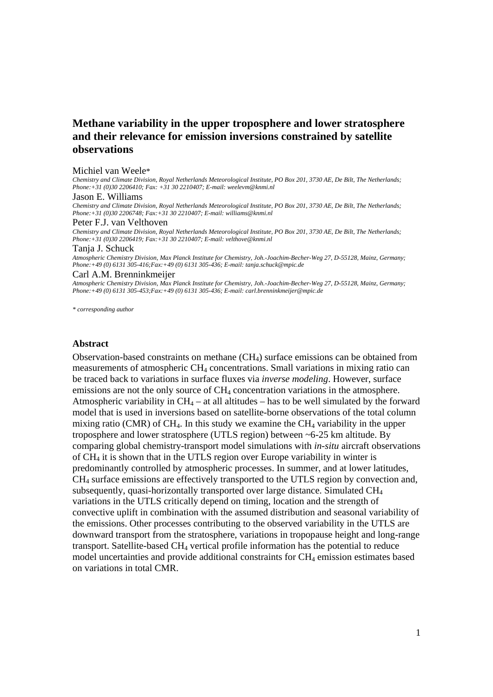# **Methane variability in the upper troposphere and lower stratosphere and their relevance for emission inversions constrained by satellite observations**

#### Michiel van Weele\*

*Chemistry and Climate Division, Royal Netherlands Meteorological Institute, PO Box 201, 3730 AE, De Bilt, The Netherlands; Phone:+31 (0)30 2206410; Fax: +31 30 2210407; E-mail: weelevm@knmi.nl* 

#### Jason E. Williams

*Chemistry and Climate Division, Royal Netherlands Meteorological Institute, PO Box 201, 3730 AE, De Bilt, The Netherlands; Phone:+31 (0)30 2206748; Fax:+31 30 2210407; E-mail: williams@knmi.nl* 

#### Peter F.J. van Velthoven

*Chemistry and Climate Division, Royal Netherlands Meteorological Institute, PO Box 201, 3730 AE, De Bilt, The Netherlands; Phone:+31 (0)30 2206419; Fax:+31 30 2210407; E-mail: velthove@knmi.nl* 

#### Tanja J. Schuck

*Atmospheric Chemistry Division, Max Planck Institute for Chemistry, Joh.-Joachim-Becher-Weg 27, D-55128, Mainz, Germany; Phone:+49 (0) 6131 305-416;Fax:+49 (0) 6131 305-436; E-mail: tanja.schuck@mpic.de* 

#### Carl A.M. Brenninkmeijer

*Atmospheric Chemistry Division, Max Planck Institute for Chemistry, Joh.-Joachim-Becher-Weg 27, D-55128, Mainz, Germany; Phone:+49 (0) 6131 305-453;Fax:+49 (0) 6131 305-436; E-mail: carl.brenninkmeijer@mpic.de* 

*\* corresponding author* 

#### **Abstract**

Observation-based constraints on methane  $(CH<sub>4</sub>)$  surface emissions can be obtained from measurements of atmospheric CH4 concentrations. Small variations in mixing ratio can be traced back to variations in surface fluxes via *inverse modeling*. However, surface emissions are not the only source of CH<sub>4</sub> concentration variations in the atmosphere. Atmospheric variability in  $CH_4$  – at all altitudes – has to be well simulated by the forward model that is used in inversions based on satellite-borne observations of the total column mixing ratio (CMR) of CH<sub>4</sub>. In this study we examine the CH<sub>4</sub> variability in the upper troposphere and lower stratosphere (UTLS region) between ~6-25 km altitude. By comparing global chemistry-transport model simulations with *in-situ* aircraft observations of CH4 it is shown that in the UTLS region over Europe variability in winter is predominantly controlled by atmospheric processes. In summer, and at lower latitudes, CH4 surface emissions are effectively transported to the UTLS region by convection and, subsequently, quasi-horizontally transported over large distance. Simulated CH4 variations in the UTLS critically depend on timing, location and the strength of convective uplift in combination with the assumed distribution and seasonal variability of the emissions. Other processes contributing to the observed variability in the UTLS are downward transport from the stratosphere, variations in tropopause height and long-range transport. Satellite-based CH4 vertical profile information has the potential to reduce model uncertainties and provide additional constraints for  $CH_4$  emission estimates based on variations in total CMR.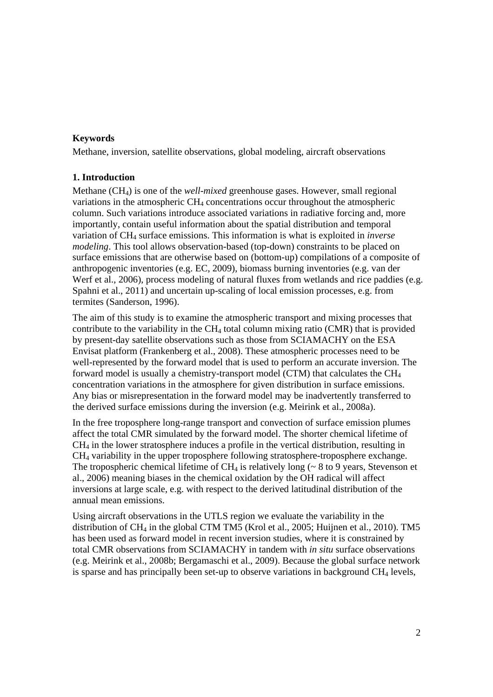## **Keywords**

Methane, inversion, satellite observations, global modeling, aircraft observations

## **1. Introduction**

Methane (CH4) is one of the *well-mixed* greenhouse gases. However, small regional variations in the atmospheric CH4 concentrations occur throughout the atmospheric column. Such variations introduce associated variations in radiative forcing and, more importantly, contain useful information about the spatial distribution and temporal variation of CH4 surface emissions. This information is what is exploited in *inverse modeling*. This tool allows observation-based (top-down) constraints to be placed on surface emissions that are otherwise based on (bottom-up) compilations of a composite of anthropogenic inventories (e.g. EC, 2009), biomass burning inventories (e.g. van der Werf et al., 2006), process modeling of natural fluxes from wetlands and rice paddies (e.g. Spahni et al., 2011) and uncertain up-scaling of local emission processes, e.g. from termites (Sanderson, 1996).

The aim of this study is to examine the atmospheric transport and mixing processes that contribute to the variability in the  $CH_4$  total column mixing ratio (CMR) that is provided by present-day satellite observations such as those from SCIAMACHY on the ESA Envisat platform (Frankenberg et al., 2008). These atmospheric processes need to be well-represented by the forward model that is used to perform an accurate inversion. The forward model is usually a chemistry-transport model (CTM) that calculates the CH4 concentration variations in the atmosphere for given distribution in surface emissions. Any bias or misrepresentation in the forward model may be inadvertently transferred to the derived surface emissions during the inversion (e.g. Meirink et al., 2008a).

In the free troposphere long-range transport and convection of surface emission plumes affect the total CMR simulated by the forward model. The shorter chemical lifetime of CH4 in the lower stratosphere induces a profile in the vertical distribution, resulting in CH4 variability in the upper troposphere following stratosphere-troposphere exchange. The tropospheric chemical lifetime of  $CH_4$  is relatively long ( $\sim 8$  to 9 years, Stevenson et al., 2006) meaning biases in the chemical oxidation by the OH radical will affect inversions at large scale, e.g. with respect to the derived latitudinal distribution of the annual mean emissions.

Using aircraft observations in the UTLS region we evaluate the variability in the distribution of  $CH_4$  in the global CTM TM5 (Krol et al., 2005; Huijnen et al., 2010). TM5 has been used as forward model in recent inversion studies, where it is constrained by total CMR observations from SCIAMACHY in tandem with *in situ* surface observations (e.g. Meirink et al., 2008b; Bergamaschi et al., 2009). Because the global surface network is sparse and has principally been set-up to observe variations in background  $CH_4$  levels,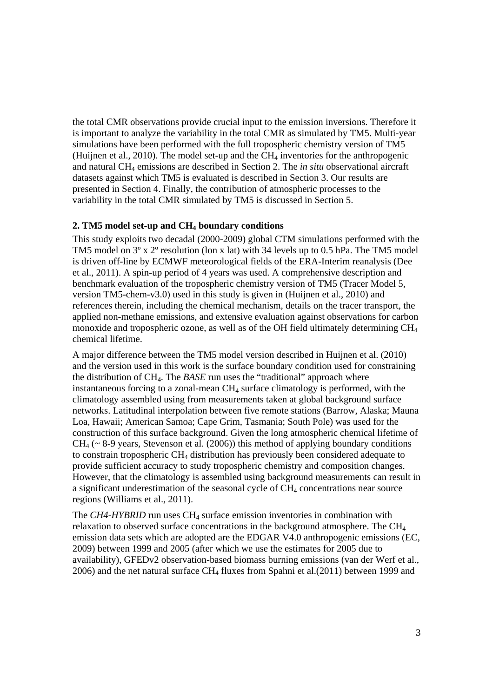the total CMR observations provide crucial input to the emission inversions. Therefore it is important to analyze the variability in the total CMR as simulated by TM5. Multi-year simulations have been performed with the full tropospheric chemistry version of TM5 (Huijnen et al., 2010). The model set-up and the  $CH_4$  inventories for the anthropogenic and natural CH4 emissions are described in Section 2. The *in situ* observational aircraft datasets against which TM5 is evaluated is described in Section 3. Our results are presented in Section 4. Finally, the contribution of atmospheric processes to the variability in the total CMR simulated by TM5 is discussed in Section 5.

#### **2. TM5 model set-up and CH4 boundary conditions**

This study exploits two decadal (2000-2009) global CTM simulations performed with the TM5 model on 3º x 2º resolution (lon x lat) with 34 levels up to 0.5 hPa. The TM5 model is driven off-line by ECMWF meteorological fields of the ERA-Interim reanalysis (Dee et al., 2011). A spin-up period of 4 years was used. A comprehensive description and benchmark evaluation of the tropospheric chemistry version of TM5 (Tracer Model 5, version TM5-chem-v3.0) used in this study is given in (Huijnen et al., 2010) and references therein, including the chemical mechanism, details on the tracer transport, the applied non-methane emissions, and extensive evaluation against observations for carbon monoxide and tropospheric ozone, as well as of the OH field ultimately determining CH4 chemical lifetime.

A major difference between the TM5 model version described in Huijnen et al. (2010) and the version used in this work is the surface boundary condition used for constraining the distribution of CH4. The *BASE* run uses the "traditional" approach where instantaneous forcing to a zonal-mean CH4 surface climatology is performed, with the climatology assembled using from measurements taken at global background surface networks. Latitudinal interpolation between five remote stations (Barrow, Alaska; Mauna Loa, Hawaii; American Samoa; Cape Grim, Tasmania; South Pole) was used for the construction of this surface background. Given the long atmospheric chemical lifetime of  $CH_4$  ( $\sim$  8-9 years, Stevenson et al. (2006)) this method of applying boundary conditions to constrain tropospheric CH4 distribution has previously been considered adequate to provide sufficient accuracy to study tropospheric chemistry and composition changes. However, that the climatology is assembled using background measurements can result in a significant underestimation of the seasonal cycle of CH<sub>4</sub> concentrations near source regions (Williams et al., 2011).

The *CH4-HYBRID* run uses CH4 surface emission inventories in combination with relaxation to observed surface concentrations in the background atmosphere. The CH4 emission data sets which are adopted are the EDGAR V4.0 anthropogenic emissions (EC, 2009) between 1999 and 2005 (after which we use the estimates for 2005 due to availability), GFEDv2 observation-based biomass burning emissions (van der Werf et al.,  $2006$ ) and the net natural surface CH<sub>4</sub> fluxes from Spahni et al.(2011) between 1999 and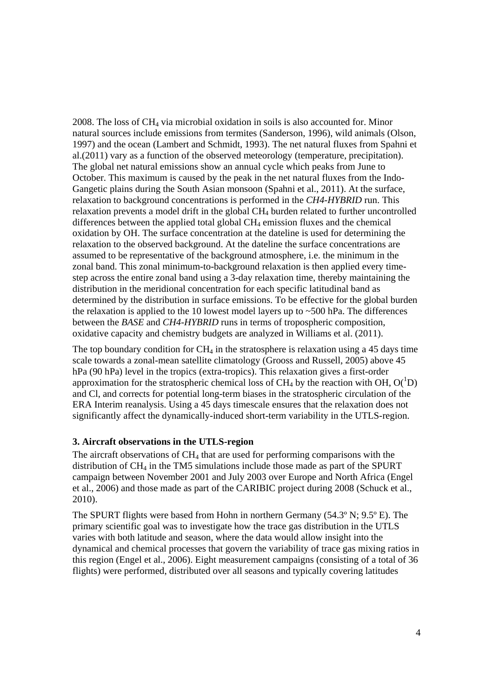2008. The loss of CH4 via microbial oxidation in soils is also accounted for. Minor natural sources include emissions from termites (Sanderson, 1996), wild animals (Olson, 1997) and the ocean (Lambert and Schmidt, 1993). The net natural fluxes from Spahni et al.(2011) vary as a function of the observed meteorology (temperature, precipitation). The global net natural emissions show an annual cycle which peaks from June to October. This maximum is caused by the peak in the net natural fluxes from the Indo-Gangetic plains during the South Asian monsoon (Spahni et al., 2011). At the surface, relaxation to background concentrations is performed in the *CH4-HYBRID* run. This relaxation prevents a model drift in the global CH4 burden related to further uncontrolled differences between the applied total global  $CH_4$  emission fluxes and the chemical oxidation by OH. The surface concentration at the dateline is used for determining the relaxation to the observed background. At the dateline the surface concentrations are assumed to be representative of the background atmosphere, i.e. the minimum in the zonal band. This zonal minimum-to-background relaxation is then applied every timestep across the entire zonal band using a 3-day relaxation time, thereby maintaining the distribution in the meridional concentration for each specific latitudinal band as determined by the distribution in surface emissions. To be effective for the global burden the relaxation is applied to the 10 lowest model layers up to  $\sim$  500 hPa. The differences between the *BASE* and *CH4-HYBRID* runs in terms of tropospheric composition, oxidative capacity and chemistry budgets are analyzed in Williams et al. (2011).

The top boundary condition for  $CH_4$  in the stratosphere is relaxation using a 45 days time scale towards a zonal-mean satellite climatology (Grooss and Russell, 2005) above 45 hPa (90 hPa) level in the tropics (extra-tropics). This relaxation gives a first-order approximation for the stratospheric chemical loss of CH<sub>4</sub> by the reaction with OH,  $O(^1D)$ and Cl, and corrects for potential long-term biases in the stratospheric circulation of the ERA Interim reanalysis. Using a 45 days timescale ensures that the relaxation does not significantly affect the dynamically-induced short-term variability in the UTLS-region.

#### **3. Aircraft observations in the UTLS-region**

The aircraft observations of CH4 that are used for performing comparisons with the distribution of CH4 in the TM5 simulations include those made as part of the SPURT campaign between November 2001 and July 2003 over Europe and North Africa (Engel et al., 2006) and those made as part of the CARIBIC project during 2008 (Schuck et al., 2010).

The SPURT flights were based from Hohn in northern Germany (54.3º N; 9.5º E). The primary scientific goal was to investigate how the trace gas distribution in the UTLS varies with both latitude and season, where the data would allow insight into the dynamical and chemical processes that govern the variability of trace gas mixing ratios in this region (Engel et al., 2006). Eight measurement campaigns (consisting of a total of 36 flights) were performed, distributed over all seasons and typically covering latitudes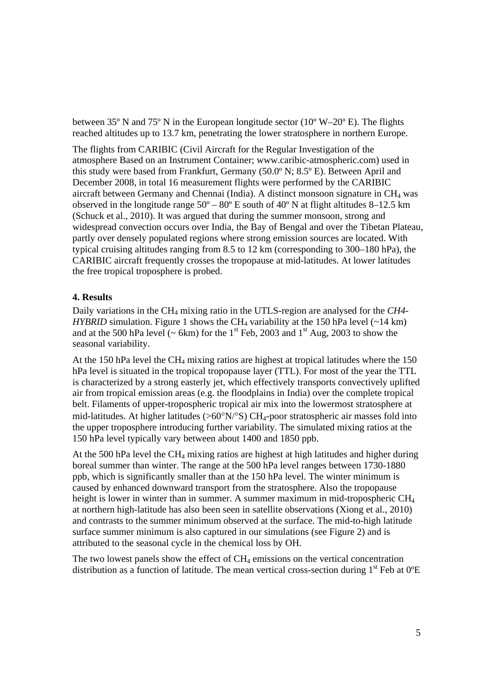between 35º N and 75º N in the European longitude sector (10º W–20º E). The flights reached altitudes up to 13.7 km, penetrating the lower stratosphere in northern Europe.

The flights from CARIBIC (Civil Aircraft for the Regular Investigation of the atmosphere Based on an Instrument Container; www.caribic-atmospheric.com) used in this study were based from Frankfurt, Germany (50.0º N; 8.5º E). Between April and December 2008, in total 16 measurement flights were performed by the CARIBIC aircraft between Germany and Chennai (India). A distinct monsoon signature in CH4 was observed in the longitude range  $50^{\circ} - 80^{\circ}$  E south of  $40^{\circ}$  N at flight altitudes 8–12.5 km (Schuck et al., 2010). It was argued that during the summer monsoon, strong and widespread convection occurs over India, the Bay of Bengal and over the Tibetan Plateau, partly over densely populated regions where strong emission sources are located. With typical cruising altitudes ranging from 8.5 to 12 km (corresponding to 300–180 hPa), the CARIBIC aircraft frequently crosses the tropopause at mid-latitudes. At lower latitudes the free tropical troposphere is probed.

## **4. Results**

Daily variations in the CH4 mixing ratio in the UTLS-region are analysed for the *CH4- HYBRID* simulation. Figure 1 shows the CH<sub>4</sub> variability at the 150 hPa level  $(-14 \text{ km})$ and at the 500 hPa level ( $\sim$  6km) for the 1<sup>st</sup> Feb, 2003 and 1<sup>st</sup> Aug, 2003 to show the seasonal variability.

At the 150 hPa level the  $CH_4$  mixing ratios are highest at tropical latitudes where the 150 hPa level is situated in the tropical tropopause layer (TTL). For most of the year the TTL is characterized by a strong easterly jet, which effectively transports convectively uplifted air from tropical emission areas (e.g. the floodplains in India) over the complete tropical belt. Filaments of upper-tropospheric tropical air mix into the lowermost stratosphere at mid-latitudes. At higher latitudes ( $>60^{\circ}N/^{\circ}S$ ) CH<sub>4</sub>-poor stratospheric air masses fold into the upper troposphere introducing further variability. The simulated mixing ratios at the 150 hPa level typically vary between about 1400 and 1850 ppb.

At the 500 hPa level the  $CH_4$  mixing ratios are highest at high latitudes and higher during boreal summer than winter. The range at the 500 hPa level ranges between 1730-1880 ppb, which is significantly smaller than at the 150 hPa level. The winter minimum is caused by enhanced downward transport from the stratosphere. Also the tropopause height is lower in winter than in summer. A summer maximum in mid-tropospheric CH<sub>4</sub> at northern high-latitude has also been seen in satellite observations (Xiong et al., 2010) and contrasts to the summer minimum observed at the surface. The mid-to-high latitude surface summer minimum is also captured in our simulations (see Figure 2) and is attributed to the seasonal cycle in the chemical loss by OH.

The two lowest panels show the effect of  $CH_4$  emissions on the vertical concentration distribution as a function of latitude. The mean vertical cross-section during  $1<sup>st</sup>$  Feb at  $0<sup>o</sup>E$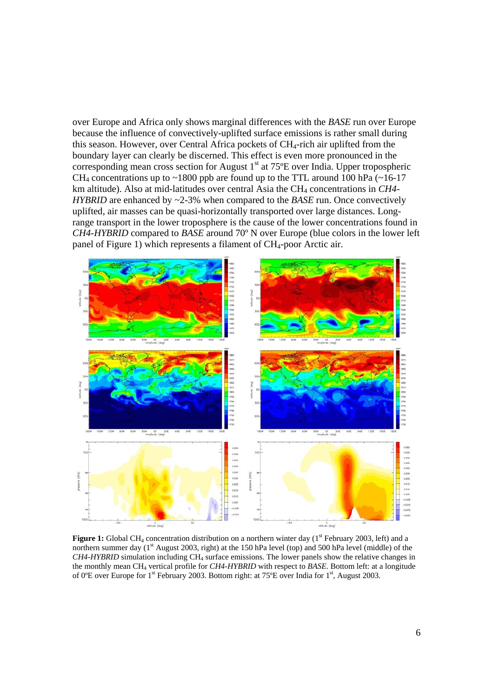over Europe and Africa only shows marginal differences with the *BASE* run over Europe because the influence of convectively-uplifted surface emissions is rather small during this season. However, over Central Africa pockets of CH4-rich air uplifted from the boundary layer can clearly be discerned. This effect is even more pronounced in the corresponding mean cross section for August  $1<sup>st</sup>$  at 75 $<sup>°</sup>E$  over India. Upper tropospheric</sup> CH<sub>4</sub> concentrations up to ~1800 ppb are found up to the TTL around 100 hPa  $(\sim 16-17)$ km altitude). Also at mid-latitudes over central Asia the CH4 concentrations in *CH4- HYBRID* are enhanced by ~2-3% when compared to the *BASE* run. Once convectively uplifted, air masses can be quasi-horizontally transported over large distances. Longrange transport in the lower troposphere is the cause of the lower concentrations found in *CH4-HYBRID* compared to *BASE* around 70º N over Europe (blue colors in the lower left panel of Figure 1) which represents a filament of  $CH<sub>4</sub>$ -poor Arctic air.



**Figure 1:** Global CH<sub>4</sub> concentration distribution on a northern winter day (1<sup>st</sup> February 2003, left) and a northern summer day (1<sup>st</sup> August 2003, right) at the 150 hPa level (top) and 500 hPa level (middle) of the *CH4-HYBRID* simulation including CH4 surface emissions. The lower panels show the relative changes in the monthly mean CH4 vertical profile for *CH4-HYBRID* with respect to *BASE*. Bottom left: at a longitude of 0ºE over Europe for 1st February 2003. Bottom right: at 75ºE over India for 1st, August 2003.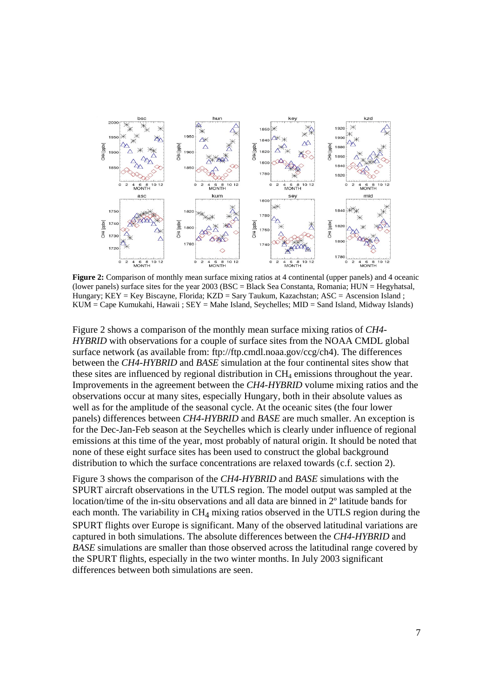

**Figure 2:** Comparison of monthly mean surface mixing ratios at 4 continental (upper panels) and 4 oceanic (lower panels) surface sites for the year 2003 (BSC = Black Sea Constanta, Romania; HUN = Hegyhatsal, Hungary; KEY = Key Biscayne, Florida; KZD = Sary Taukum, Kazachstan; ASC = Ascension Island ; KUM = Cape Kumukahi, Hawaii ; SEY = Mahe Island, Seychelles; MID = Sand Island, Midway Islands)

Figure 2 shows a comparison of the monthly mean surface mixing ratios of *CH4- HYBRID* with observations for a couple of surface sites from the NOAA CMDL global surface network (as available from: ftp://ftp.cmdl.noaa.gov/ccg/ch4). The differences between the *CH4-HYBRID* and *BASE* simulation at the four continental sites show that these sites are influenced by regional distribution in CH4 emissions throughout the year. Improvements in the agreement between the *CH4-HYBRID* volume mixing ratios and the observations occur at many sites, especially Hungary, both in their absolute values as well as for the amplitude of the seasonal cycle. At the oceanic sites (the four lower panels) differences between *CH4-HYBRID* and *BASE* are much smaller. An exception is for the Dec-Jan-Feb season at the Seychelles which is clearly under influence of regional emissions at this time of the year, most probably of natural origin. It should be noted that none of these eight surface sites has been used to construct the global background distribution to which the surface concentrations are relaxed towards (c.f. section 2).

Figure 3 shows the comparison of the *CH4-HYBRID* and *BASE* simulations with the SPURT aircraft observations in the UTLS region. The model output was sampled at the location/time of the in-situ observations and all data are binned in 2º latitude bands for each month. The variability in  $CH<sub>4</sub>$  mixing ratios observed in the UTLS region during the SPURT flights over Europe is significant. Many of the observed latitudinal variations are captured in both simulations. The absolute differences between the *CH4-HYBRID* and *BASE* simulations are smaller than those observed across the latitudinal range covered by the SPURT flights, especially in the two winter months. In July 2003 significant differences between both simulations are seen.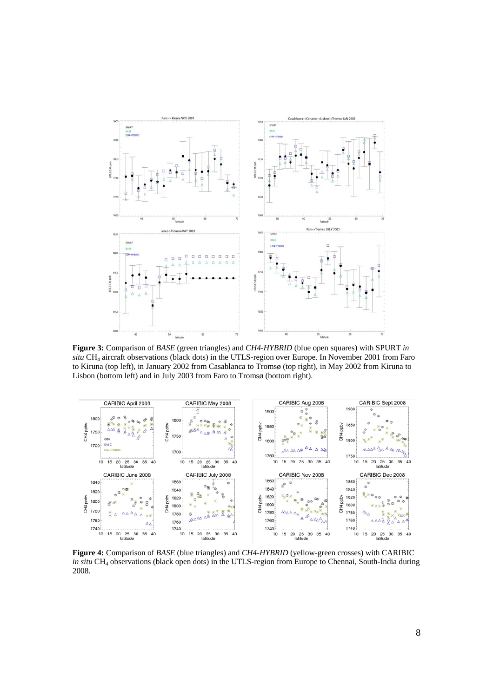

**Figure 3:** Comparison of *BASE* (green triangles) and *CH4-HYBRID* (blue open squares) with SPURT *in situ* CH4 aircraft observations (black dots) in the UTLS-region over Europe. In November 2001 from Faro to Kiruna (top left), in January 2002 from Casablanca to Tromsø (top right), in May 2002 from Kiruna to Lisbon (bottom left) and in July 2003 from Faro to Tromsø (bottom right).



**Figure 4:** Comparison of *BASE* (blue triangles) and *CH4-HYBRID* (yellow-green crosses) with CARIBIC *in situ* CH<sub>4</sub> observations (black open dots) in the UTLS-region from Europe to Chennai, South-India during 2008.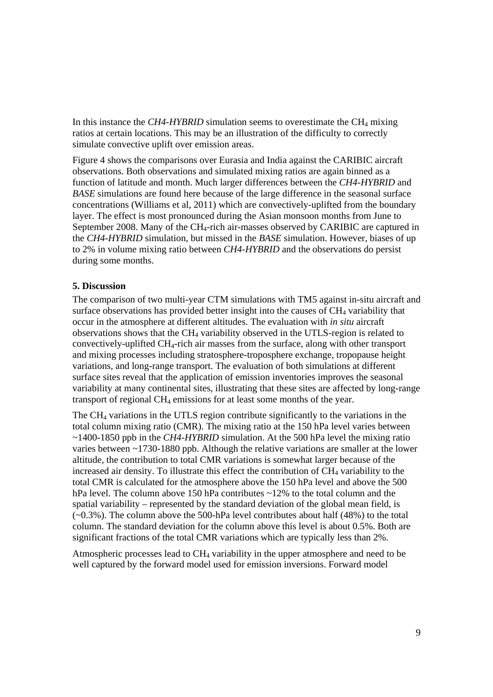In this instance the *CH4-HYBRID* simulation seems to overestimate the CH<sub>4</sub> mixing ratios at certain locations. This may be an illustration of the difficulty to correctly simulate convective uplift over emission areas.

Figure 4 shows the comparisons over Eurasia and India against the CARIBIC aircraft observations. Both observations and simulated mixing ratios are again binned as a function of latitude and month. Much larger differences between the *CH4-HYBRID* and *BASE* simulations are found here because of the large difference in the seasonal surface concentrations (Williams et al, 2011) which are convectively-uplifted from the boundary layer. The effect is most pronounced during the Asian monsoon months from June to September 2008. Many of the CH4-rich air-masses observed by CARIBIC are captured in the *CH4-HYBRID* simulation, but missed in the *BASE* simulation. However, biases of up to 2% in volume mixing ratio between *CH4-HYBRID* and the observations do persist during some months.

## **5. Discussion**

The comparison of two multi-year CTM simulations with TM5 against in-situ aircraft and surface observations has provided better insight into the causes of  $CH<sub>4</sub>$  variability that occur in the atmosphere at different altitudes. The evaluation with *in situ* aircraft observations shows that the CH4 variability observed in the UTLS-region is related to convectively-uplifted  $CH<sub>4</sub>$ -rich air masses from the surface, along with other transport and mixing processes including stratosphere-troposphere exchange, tropopause height variations, and long-range transport. The evaluation of both simulations at different surface sites reveal that the application of emission inventories improves the seasonal variability at many continental sites, illustrating that these sites are affected by long-range transport of regional CH4 emissions for at least some months of the year.

The CH4 variations in the UTLS region contribute significantly to the variations in the total column mixing ratio (CMR). The mixing ratio at the 150 hPa level varies between ~1400-1850 ppb in the *CH4-HYBRID* simulation. At the 500 hPa level the mixing ratio varies between ~1730-1880 ppb. Although the relative variations are smaller at the lower altitude, the contribution to total CMR variations is somewhat larger because of the increased air density. To illustrate this effect the contribution of CH4 variability to the total CMR is calculated for the atmosphere above the 150 hPa level and above the 500 hPa level. The column above 150 hPa contributes ~12% to the total column and the spatial variability – represented by the standard deviation of the global mean field, is  $(-0.3\%)$ . The column above the 500-hPa level contributes about half (48%) to the total column. The standard deviation for the column above this level is about 0.5%. Both are significant fractions of the total CMR variations which are typically less than 2%.

Atmospheric processes lead to  $CH<sub>4</sub>$  variability in the upper atmosphere and need to be well captured by the forward model used for emission inversions. Forward model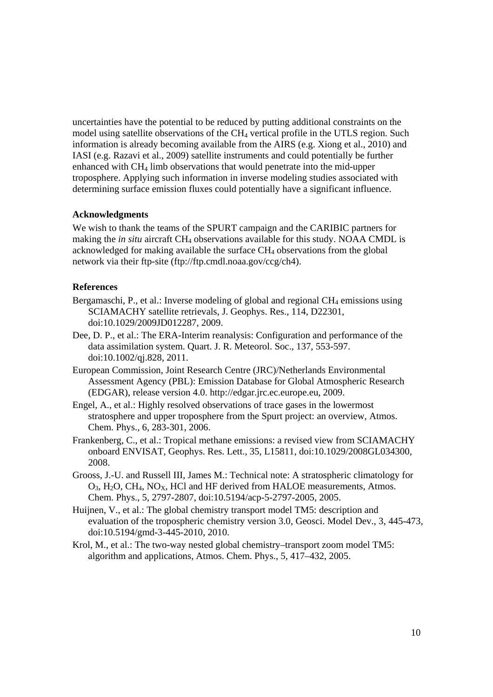uncertainties have the potential to be reduced by putting additional constraints on the model using satellite observations of the CH4 vertical profile in the UTLS region. Such information is already becoming available from the AIRS (e.g. Xiong et al., 2010) and IASI (e.g. Razavi et al., 2009) satellite instruments and could potentially be further enhanced with CH4 limb observations that would penetrate into the mid-upper troposphere. Applying such information in inverse modeling studies associated with determining surface emission fluxes could potentially have a significant influence.

## **Acknowledgments**

We wish to thank the teams of the SPURT campaign and the CARIBIC partners for making the *in situ* aircraft CH4 observations available for this study. NOAA CMDL is acknowledged for making available the surface CH4 observations from the global network via their ftp-site (ftp://ftp.cmdl.noaa.gov/ccg/ch4).

## **References**

- Bergamaschi, P., et al.: Inverse modeling of global and regional  $CH_4$  emissions using SCIAMACHY satellite retrievals, J. Geophys. Res., 114, D22301, doi:10.1029/2009JD012287, 2009.
- Dee, D. P., et al.: The ERA-Interim reanalysis: Configuration and performance of the data assimilation system. Quart. J. R. Meteorol. Soc., 137, 553-597. doi:10.1002/qj.828, 2011.
- European Commission, Joint Research Centre (JRC)/Netherlands Environmental Assessment Agency (PBL): Emission Database for Global Atmospheric Research (EDGAR), release version 4.0. http://edgar.jrc.ec.europe.eu, 2009.
- Engel, A., et al.: Highly resolved observations of trace gases in the lowermost stratosphere and upper troposphere from the Spurt project: an overview, Atmos. Chem. Phys., 6, 283-301, 2006.
- Frankenberg, C., et al.: Tropical methane emissions: a revised view from SCIAMACHY onboard ENVISAT, Geophys. Res. Lett., 35, L15811, doi:10.1029/2008GL034300, 2008.
- Grooss, J.-U. and Russell III, James M.: Technical note: A stratospheric climatology for  $O_3$ ,  $H_2O$ ,  $CH_4$ ,  $NO_X$ ,  $HCl$  and  $HF$  derived from  $HALOE$  measurements, Atmos. Chem. Phys., 5, 2797-2807, doi:10.5194/acp-5-2797-2005, 2005.
- Huijnen, V., et al.: The global chemistry transport model TM5: description and evaluation of the tropospheric chemistry version 3.0, Geosci. Model Dev., 3, 445-473, doi:10.5194/gmd-3-445-2010, 2010.
- Krol, M., et al.: The two-way nested global chemistry–transport zoom model TM5: algorithm and applications, Atmos. Chem. Phys., 5, 417–432, 2005.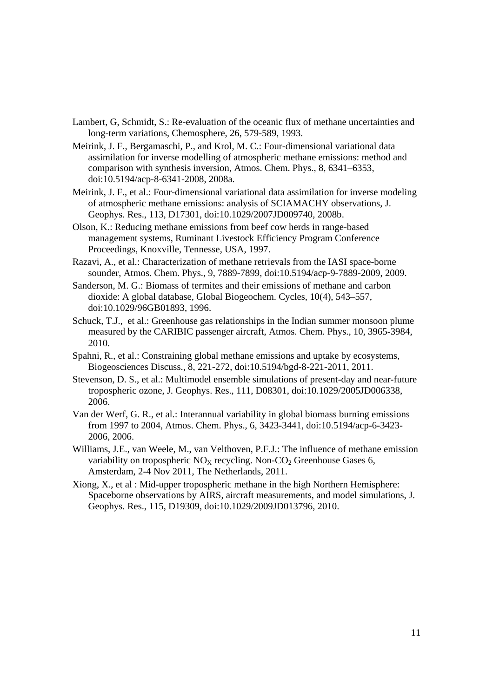- Lambert, G, Schmidt, S.: Re-evaluation of the oceanic flux of methane uncertainties and long-term variations, Chemosphere, 26, 579-589, 1993.
- Meirink, J. F., Bergamaschi, P., and Krol, M. C.: Four-dimensional variational data assimilation for inverse modelling of atmospheric methane emissions: method and comparison with synthesis inversion, Atmos. Chem. Phys., 8, 6341–6353, doi:10.5194/acp-8-6341-2008, 2008a.
- Meirink, J. F., et al.: Four-dimensional variational data assimilation for inverse modeling of atmospheric methane emissions: analysis of SCIAMACHY observations, J. Geophys. Res., 113, D17301, doi:10.1029/2007JD009740, 2008b.
- Olson, K.: Reducing methane emissions from beef cow herds in range-based management systems, Ruminant Livestock Efficiency Program Conference Proceedings, Knoxville, Tennesse, USA, 1997.
- Razavi, A., et al.: Characterization of methane retrievals from the IASI space-borne sounder, Atmos. Chem. Phys., 9, 7889-7899, doi:10.5194/acp-9-7889-2009, 2009.
- Sanderson, M. G.: Biomass of termites and their emissions of methane and carbon dioxide: A global database, Global Biogeochem. Cycles, 10(4), 543–557, doi:10.1029/96GB01893, 1996.
- Schuck, T.J., et al.: Greenhouse gas relationships in the Indian summer monsoon plume measured by the CARIBIC passenger aircraft, Atmos. Chem. Phys., 10, 3965-3984, 2010.
- Spahni, R., et al.: Constraining global methane emissions and uptake by ecosystems, Biogeosciences Discuss., 8, 221-272, doi:10.5194/bgd-8-221-2011, 2011.
- Stevenson, D. S., et al.: Multimodel ensemble simulations of present-day and near-future tropospheric ozone, J. Geophys. Res., 111, D08301, doi:10.1029/2005JD006338, 2006.
- Van der Werf, G. R., et al.: Interannual variability in global biomass burning emissions from 1997 to 2004, Atmos. Chem. Phys., 6, 3423-3441, doi:10.5194/acp-6-3423- 2006, 2006.
- Williams, J.E., van Weele, M., van Velthoven, P.F.J.: The influence of methane emission variability on tropospheric  $NO<sub>X</sub>$  recycling. Non-CO<sub>2</sub> Greenhouse Gases 6, Amsterdam, 2-4 Nov 2011, The Netherlands, 2011.
- Xiong, X., et al : Mid-upper tropospheric methane in the high Northern Hemisphere: Spaceborne observations by AIRS, aircraft measurements, and model simulations, J. Geophys. Res., 115, D19309, doi:10.1029/2009JD013796, 2010.